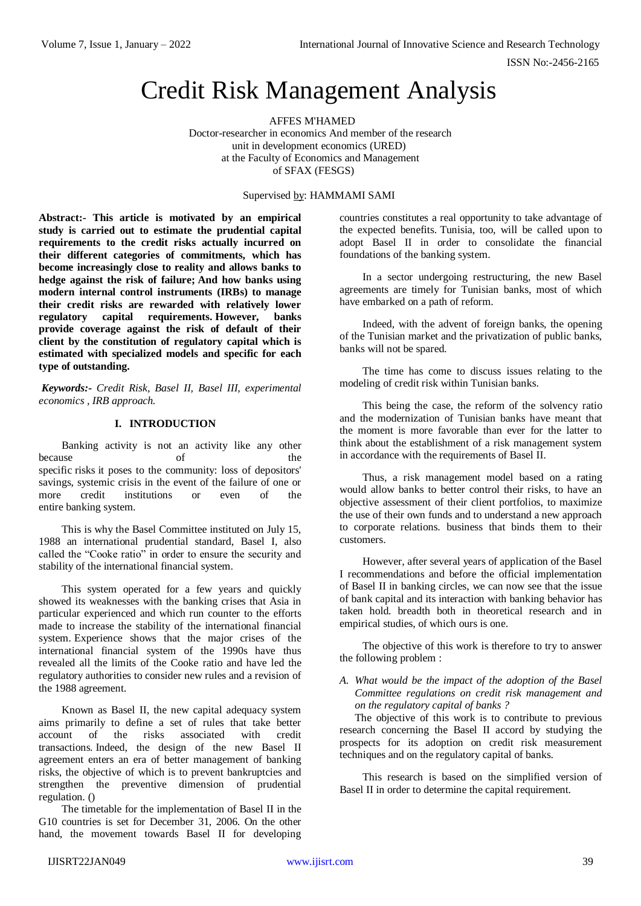# Credit Risk Management Analysis

AFFES M'HAMED Doctor-researcher in economics And member of the research unit in development economics (URED) at the Faculty of Economics and Management of SFAX (FESGS)

#### Supervised by: HAMMAMI SAMI

**Abstract:- This article is motivated by an empirical study is carried out to estimate the prudential capital requirements to the credit risks actually incurred on their different categories of commitments, which has become increasingly close to reality and allows banks to hedge against the risk of failure; And how banks using modern internal control instruments (IRBs) to manage their credit risks are rewarded with relatively lower regulatory capital requirements. However, banks provide coverage against the risk of default of their client by the constitution of regulatory capital which is estimated with specialized models and specific for each type of outstanding.**

*Keywords:- Credit Risk, Basel II, Basel III, experimental economics , IRB approach.*

## **I. INTRODUCTION**

Banking activity is not an activity like any other because of the specific risks it poses to the community: loss of depositors' savings, systemic crisis in the event of the failure of one or more credit institutions or even of the entire banking system.

This is why the Basel Committee instituted on July 15, 1988 an international prudential standard, Basel I, also called the "Cooke ratio" in order to ensure the security and stability of the international financial system.

This system operated for a few years and quickly showed its weaknesses with the banking crises that Asia in particular experienced and which run counter to the efforts made to increase the stability of the international financial system. Experience shows that the major crises of the international financial system of the 1990s have thus revealed all the limits of the Cooke ratio and have led the regulatory authorities to consider new rules and a revision of the 1988 agreement.

Known as Basel II, the new capital adequacy system aims primarily to define a set of rules that take better account of the risks associated with credit transactions. Indeed, the design of the new Basel II agreement enters an era of better management of banking risks, the objective of which is to prevent bankruptcies and strengthen the preventive dimension of prudential regulation. ()

The timetable for the implementation of Basel II in the G10 countries is set for December 31, 2006. On the other hand, the movement towards Basel II for developing

countries constitutes a real opportunity to take advantage of the expected benefits. Tunisia, too, will be called upon to adopt Basel II in order to consolidate the financial foundations of the banking system.

In a sector undergoing restructuring, the new Basel agreements are timely for Tunisian banks, most of which have embarked on a path of reform.

Indeed, with the advent of foreign banks, the opening of the Tunisian market and the privatization of public banks, banks will not be spared.

The time has come to discuss issues relating to the modeling of credit risk within Tunisian banks.

This being the case, the reform of the solvency ratio and the modernization of Tunisian banks have meant that the moment is more favorable than ever for the latter to think about the establishment of a risk management system in accordance with the requirements of Basel II.

Thus, a risk management model based on a rating would allow banks to better control their risks, to have an objective assessment of their client portfolios, to maximize the use of their own funds and to understand a new approach to corporate relations. business that binds them to their customers.

However, after several years of application of the Basel I recommendations and before the official implementation of Basel II in banking circles, we can now see that the issue of bank capital and its interaction with banking behavior has taken hold. breadth both in theoretical research and in empirical studies, of which ours is one.

The objective of this work is therefore to try to answer the following problem :

## *A. What would be the impact of the adoption of the Basel Committee regulations on credit risk management and on the regulatory capital of banks ?*

The objective of this work is to contribute to previous research concerning the Basel II accord by studying the prospects for its adoption on credit risk measurement techniques and on the regulatory capital of banks.

This research is based on the simplified version of Basel II in order to determine the capital requirement.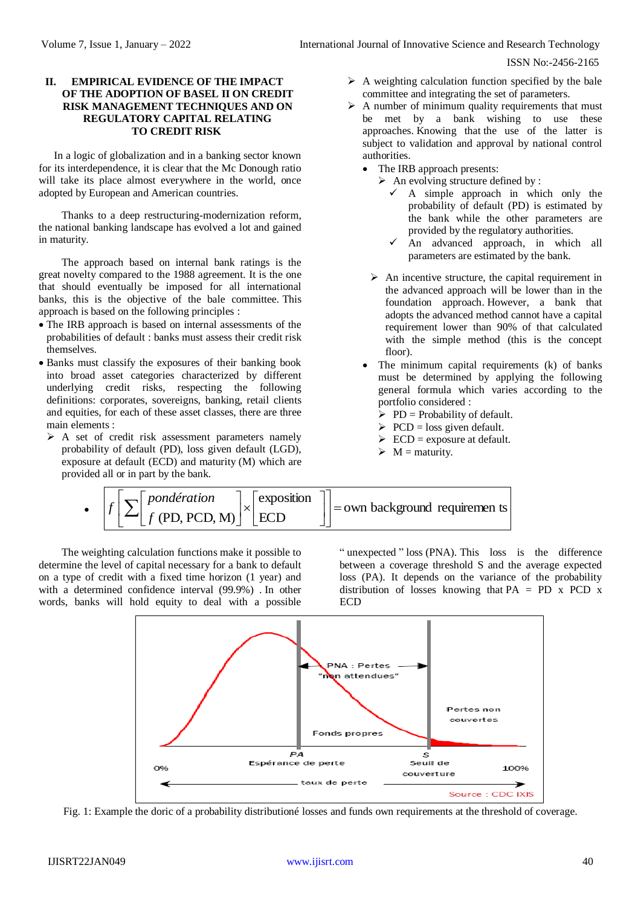#### **II. EMPIRICAL EVIDENCE OF THE IMPACT OF THE ADOPTION OF BASEL II ON CREDIT RISK MANAGEMENT TECHNIQUES AND ON REGULATORY CAPITAL RELATING TO CREDIT RISK**

In a logic of globalization and in a banking sector known for its interdependence, it is clear that the Mc Donough ratio will take its place almost everywhere in the world, once adopted by European and American countries.

Thanks to a deep restructuring-modernization reform, the national banking landscape has evolved a lot and gained in maturity.

The approach based on internal bank ratings is the great novelty compared to the 1988 agreement. It is the one that should eventually be imposed for all international banks, this is the objective of the bale committee. This approach is based on the following principles :

- The IRB approach is based on internal assessments of the probabilities of default : banks must assess their credit risk themselves.
- Banks must classify the exposures of their banking book into broad asset categories characterized by different underlying credit risks, respecting the following definitions: corporates, sovereigns, banking, retail clients and equities, for each of these asset classes, there are three main elements :
	- $\triangleright$  A set of credit risk assessment parameters namely probability of default (PD), loss given default (LGD), exposure at default (ECD) and maturity (M) which are provided all or in part by the bank.
- $\triangleright$  A weighting calculation function specified by the bale committee and integrating the set of parameters.
- $\triangleright$  A number of minimum quality requirements that must be met by a bank wishing to use these approaches. Knowing that the use of the latter is subject to validation and approval by national control authorities.
	- The IRB approach presents:
		- $\triangleright$  An evolving structure defined by :
			- $\checkmark$  A simple approach in which only the probability of default (PD) is estimated by the bank while the other parameters are provided by the regulatory authorities.
			- $\checkmark$  An advanced approach, in which all parameters are estimated by the bank.
	- $\triangleright$  An incentive structure, the capital requirement in the advanced approach will be lower than in the foundation approach. However, a bank that adopts the advanced method cannot have a capital requirement lower than 90% of that calculated with the simple method (this is the concept floor).
	- The minimum capital requirements (k) of banks must be determined by applying the following general formula which varies according to the portfolio considered :
		- $\triangleright$  PD = Probability of default.
		- $\triangleright$  PCD = loss given default.
		- $\triangleright$  ECD = exposure at default.
		- $\triangleright$  M = maturity.

• 
$$
f\left[\sum f(pondération)\left[\sum f(pD, PCD, M)\right]\right] \times \text{[exposition]}
$$
 = own background requirement is

The weighting calculation functions make it possible to determine the level of capital necessary for a bank to default on a type of credit with a fixed time horizon (1 year) and with a determined confidence interval (99.9%) . In other words, banks will hold equity to deal with a possible

" unexpected " loss (PNA). This loss is the difference between a coverage threshold S and the average expected loss (PA). It depends on the variance of the probability distribution of losses knowing that PA = PD x PCD x ECD



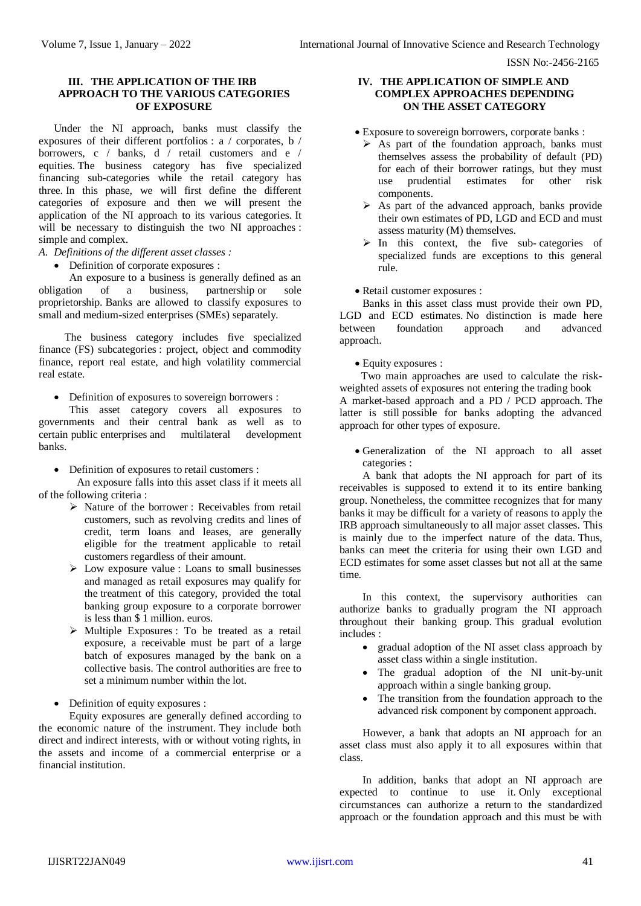## **III. THE APPLICATION OF THE IRB APPROACH TO THE VARIOUS CATEGORIES OF EXPOSURE**

Under the NI approach, banks must classify the exposures of their different portfolios : a / corporates, b / borrowers, c / banks, d / retail customers and e / equities. The business category has five specialized financing sub-categories while the retail category has three. In this phase, we will first define the different categories of exposure and then we will present the application of the NI approach to its various categories. It will be necessary to distinguish the two NI approaches : simple and complex.

- *A. Definitions of the different asset classes :*
	- Definition of corporate exposures :

An exposure to a business is generally defined as an ion of a business, partnership or sole obligation of a business, partnership or sole proprietorship. Banks are allowed to classify exposures to small and medium-sized enterprises (SMEs) separately.

The business category includes five specialized finance (FS) subcategories : project, object and commodity finance, report real estate, and high volatility commercial real estate.

• Definition of exposures to sovereign borrowers :

This asset category covers all exposures to governments and their central bank as well as to certain public enterprises and multilateral development banks.

• Definition of exposures to retail customers :

An exposure falls into this asset class if it meets all of the following criteria :

- $\triangleright$  Nature of the borrower : Receivables from retail customers, such as revolving credits and lines of credit, term loans and leases, are generally eligible for the treatment applicable to retail customers regardless of their amount.
- Low exposure value : Loans to small businesses and managed as retail exposures may qualify for the treatment of this category, provided the total banking group exposure to a corporate borrower is less than \$ 1 million. euros.
- Multiple Exposures : To be treated as a retail exposure, a receivable must be part of a large batch of exposures managed by the bank on a collective basis. The control authorities are free to set a minimum number within the lot.

• Definition of equity exposures :

Equity exposures are generally defined according to the economic nature of the instrument. They include both direct and indirect interests, with or without voting rights, in the assets and income of a commercial enterprise or a financial institution.

#### **IV. THE APPLICATION OF SIMPLE AND COMPLEX APPROACHES DEPENDING ON THE ASSET CATEGORY**

Exposure to sovereign borrowers, corporate banks :

- $\triangleright$  As part of the foundation approach, banks must themselves assess the probability of default (PD) for each of their borrower ratings, but they must use prudential estimates for other risk components.
- $\triangleright$  As part of the advanced approach, banks provide their own estimates of PD, LGD and ECD and must assess maturity (M) themselves.
- $\triangleright$  In this context, the five sub-categories of specialized funds are exceptions to this general rule.

## • Retail customer exposures :

Banks in this asset class must provide their own PD, LGD and ECD estimates. No distinction is made here between foundation approach and advanced approach.

#### Equity exposures :

Two main approaches are used to calculate the riskweighted assets of exposures not entering the trading book A market-based approach and a PD / PCD approach. The latter is still possible for banks adopting the advanced approach for other types of exposure.

 Generalization of the NI approach to all asset categories :

A bank that adopts the NI approach for part of its receivables is supposed to extend it to its entire banking group. Nonetheless, the committee recognizes that for many banks it may be difficult for a variety of reasons to apply the IRB approach simultaneously to all major asset classes. This is mainly due to the imperfect nature of the data. Thus, banks can meet the criteria for using their own LGD and ECD estimates for some asset classes but not all at the same time.

In this context, the supervisory authorities can authorize banks to gradually program the NI approach throughout their banking group. This gradual evolution includes :

- gradual adoption of the NI asset class approach by asset class within a single institution.
- The gradual adoption of the NI unit-by-unit approach within a single banking group.
- The transition from the foundation approach to the advanced risk component by component approach.

However, a bank that adopts an NI approach for an asset class must also apply it to all exposures within that class.

In addition, banks that adopt an NI approach are expected to continue to use it. Only exceptional circumstances can authorize a return to the standardized approach or the foundation approach and this must be with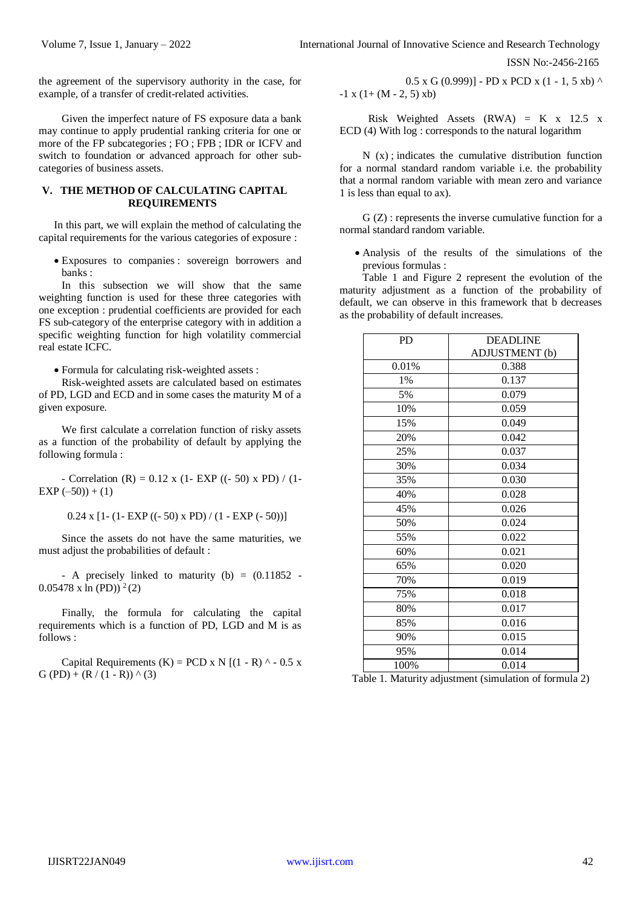the agreement of the supervisory authority in the case, for example, of a transfer of credit-related activities.

Given the imperfect nature of FS exposure data a bank may continue to apply prudential ranking criteria for one or more of the FP subcategories ; FO ; FPB ; IDR or ICFV and switch to foundation or advanced approach for other subcategories of business assets.

#### **V. THE METHOD OF CALCULATING CAPITAL REQUIREMENTS**

In this part, we will explain the method of calculating the capital requirements for the various categories of exposure :

 Exposures to companies : sovereign borrowers and banks :

In this subsection we will show that the same weighting function is used for these three categories with one exception : prudential coefficients are provided for each FS sub-category of the enterprise category with in addition a specific weighting function for high volatility commercial real estate ICFC.

Formula for calculating risk-weighted assets :

Risk-weighted assets are calculated based on estimates of PD, LGD and ECD and in some cases the maturity M of a given exposure.

We first calculate a correlation function of risky assets as a function of the probability of default by applying the following formula :

- Correlation (R) =  $0.12$  x (1- EXP ((- 50) x PD) / (1- $EXP(-50)) + (1)$ 

 $0.24 \times [1-(1-EXP ((-50) \times PD)/(1-EXP (-50))]$ 

Since the assets do not have the same maturities, we must adjust the probabilities of default :

- A precisely linked to maturity  $(b) = (0.11852 0.05478$  x ln (PD))<sup>2</sup>(2)

Finally, the formula for calculating the capital requirements which is a function of PD, LGD and M is as follows :

Capital Requirements  $(K) = PCD \times N$   $(1 - R)$  ^ - 0.5 x G (PD) + (R / (1 - R))  $\wedge$  (3)

$$
0.5 \times G (0.999)] - PD \times PCD \times (1 - 1, 5 \times b) \land -1 \times (1 + (M - 2, 5) \times b)
$$

 Risk Weighted Assets (RWA) = K x 12.5 x ECD (4) With log : corresponds to the natural logarithm

 $N(x)$ ; indicates the cumulative distribution function for a normal standard random variable i.e. the probability that a normal random variable with mean zero and variance 1 is less than equal to ax).

G (Z) : represents the inverse cumulative function for a normal standard random variable.

 Analysis of the results of the simulations of the previous formulas :

Table 1 and Figure 2 represent the evolution of the maturity adjustment as a function of the probability of default, we can observe in this framework that b decreases as the probability of default increases.

| PD    | <b>DEADLINE</b> |  |
|-------|-----------------|--|
|       | ADJUSTMENT (b)  |  |
| 0.01% | 0.388           |  |
| 1%    | 0.137           |  |
| 5%    | 0.079           |  |
| 10%   | 0.059           |  |
| 15%   | 0.049           |  |
| 20%   | 0.042           |  |
| 25%   | 0.037           |  |
| 30%   | 0.034           |  |
| 35%   | 0.030           |  |
| 40%   | 0.028           |  |
| 45%   | 0.026           |  |
| 50%   | 0.024           |  |
| 55%   | 0.022           |  |
| 60%   | 0.021           |  |
| 65%   | 0.020           |  |
| 70%   | 0.019           |  |
| 75%   | 0.018           |  |
| 80%   | 0.017           |  |
| 85%   | 0.016           |  |
| 90%   | 0.015           |  |
| 95%   | 0.014           |  |
| 100%  | 0.014           |  |

Table 1. Maturity adjustment (simulation of formula 2)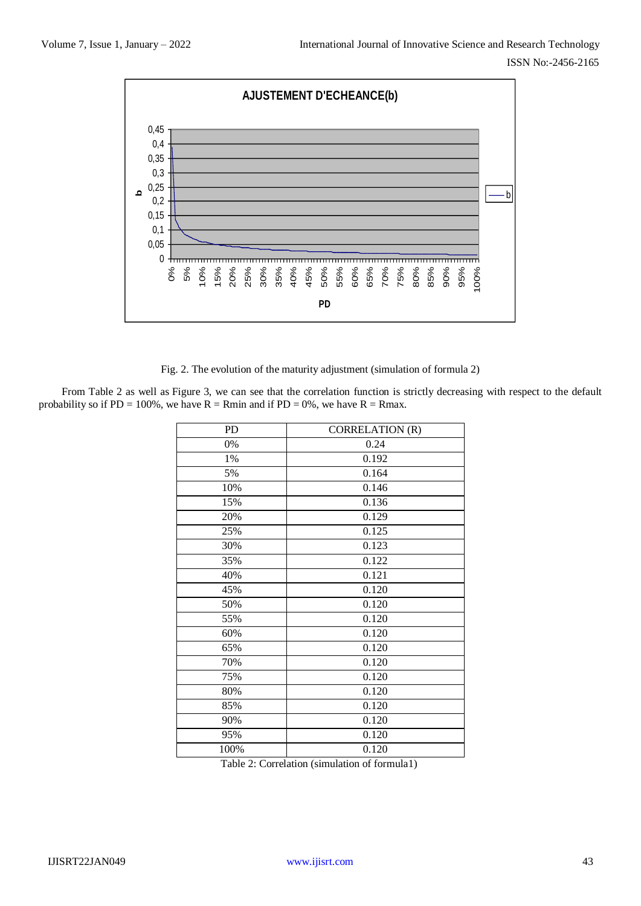

Fig. 2. The evolution of the maturity adjustment (simulation of formula 2)

From Table 2 as well as Figure 3, we can see that the correlation function is strictly decreasing with respect to the default probability so if PD = 100%, we have  $R = Rm$ in and if PD = 0%, we have  $R = Rmax$ .

| PD   | <b>CORRELATION (R)</b> |  |  |
|------|------------------------|--|--|
| 0%   | 0.24                   |  |  |
| 1%   | 0.192                  |  |  |
| 5%   | 0.164                  |  |  |
| 10%  | 0.146                  |  |  |
| 15%  | 0.136                  |  |  |
| 20%  | 0.129                  |  |  |
| 25%  | 0.125                  |  |  |
| 30%  | 0.123                  |  |  |
| 35%  | 0.122                  |  |  |
| 40%  | 0.121                  |  |  |
| 45%  | 0.120                  |  |  |
| 50%  | 0.120                  |  |  |
| 55%  | 0.120                  |  |  |
| 60%  | 0.120                  |  |  |
| 65%  | 0.120                  |  |  |
| 70%  | 0.120                  |  |  |
| 75%  | 0.120                  |  |  |
| 80%  | 0.120                  |  |  |
| 85%  | 0.120                  |  |  |
| 90%  | 0.120                  |  |  |
| 95%  | 0.120                  |  |  |
| 100% | 0.120                  |  |  |

Table 2: Correlation (simulation of formula1)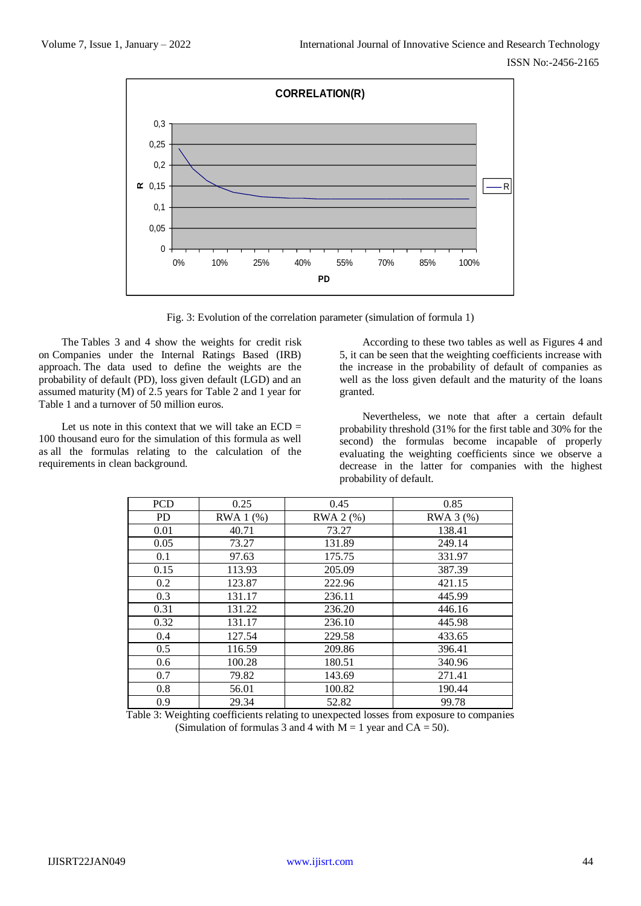

Fig. 3: Evolution of the correlation parameter (simulation of formula 1)

The Tables 3 and 4 show the weights for credit risk on Companies under the Internal Ratings Based (IRB) approach. The data used to define the weights are the probability of default (PD), loss given default (LGD) and an assumed maturity (M) of 2.5 years for Table 2 and 1 year for Table 1 and a turnover of 50 million euros.

Let us note in this context that we will take an  $ECD =$ 100 thousand euro for the simulation of this formula as well as all the formulas relating to the calculation of the requirements in clean background.

According to these two tables as well as Figures 4 and 5, it can be seen that the weighting coefficients increase with the increase in the probability of default of companies as well as the loss given default and the maturity of the loans granted.

Nevertheless, we note that after a certain default probability threshold (31% for the first table and 30% for the second) the formulas become incapable of properly evaluating the weighting coefficients since we observe a decrease in the latter for companies with the highest probability of default.

| <b>PCD</b> | 0.25      | 0.45      | 0.85      |
|------------|-----------|-----------|-----------|
| <b>PD</b>  | RWA 1 (%) | RWA 2 (%) | RWA 3 (%) |
| 0.01       | 40.71     | 73.27     | 138.41    |
| 0.05       | 73.27     | 131.89    | 249.14    |
| 0.1        | 97.63     | 175.75    | 331.97    |
| 0.15       | 113.93    | 205.09    | 387.39    |
| 0.2        | 123.87    | 222.96    | 421.15    |
| 0.3        | 131.17    | 236.11    | 445.99    |
| 0.31       | 131.22    | 236.20    | 446.16    |
| 0.32       | 131.17    | 236.10    | 445.98    |
| 0.4        | 127.54    | 229.58    | 433.65    |
| 0.5        | 116.59    | 209.86    | 396.41    |
| 0.6        | 100.28    | 180.51    | 340.96    |
| 0.7        | 79.82     | 143.69    | 271.41    |
| 0.8        | 56.01     | 100.82    | 190.44    |
| 0.9        | 29.34     | 52.82     | 99.78     |

Table 3: Weighting coefficients relating to unexpected losses from exposure to companies (Simulation of formulas 3 and 4 with  $M = 1$  year and  $CA = 50$ ).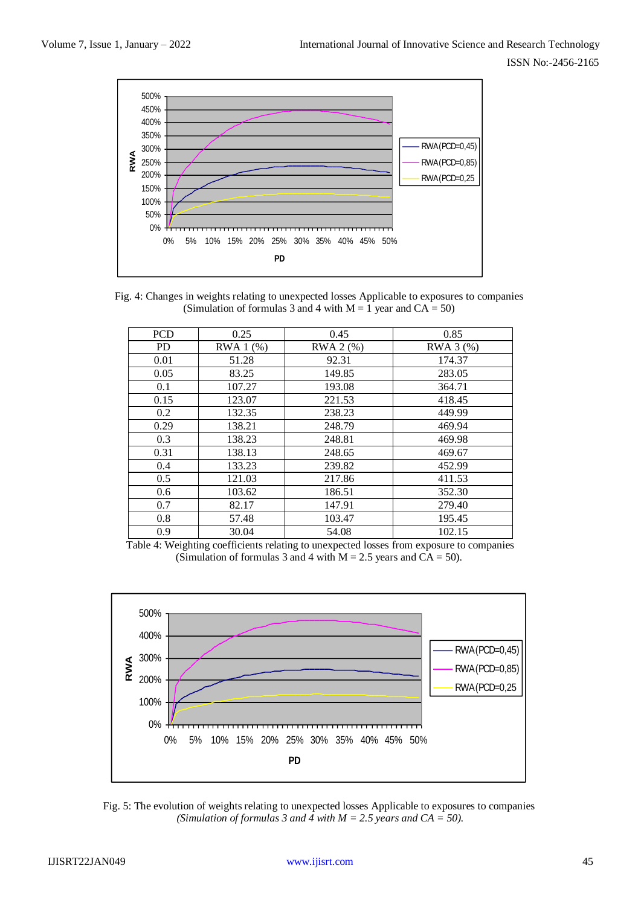

Fig. 4: Changes in weights relating to unexpected losses Applicable to exposures to companies (Simulation of formulas 3 and 4 with  $M = 1$  year and  $CA = 50$ )

| <b>PCD</b> | 0.25      | 0.45      | 0.85      |
|------------|-----------|-----------|-----------|
| <b>PD</b>  | RWA 1 (%) | RWA 2 (%) | RWA 3 (%) |
| 0.01       | 51.28     | 92.31     | 174.37    |
| 0.05       | 83.25     | 149.85    | 283.05    |
| 0.1        | 107.27    | 193.08    | 364.71    |
| 0.15       | 123.07    | 221.53    | 418.45    |
| 0.2        | 132.35    | 238.23    | 449.99    |
| 0.29       | 138.21    | 248.79    | 469.94    |
| 0.3        | 138.23    | 248.81    | 469.98    |
| 0.31       | 138.13    | 248.65    | 469.67    |
| 0.4        | 133.23    | 239.82    | 452.99    |
| 0.5        | 121.03    | 217.86    | 411.53    |
| 0.6        | 103.62    | 186.51    | 352.30    |
| 0.7        | 82.17     | 147.91    | 279.40    |
| 0.8        | 57.48     | 103.47    | 195.45    |
| 0.9        | 30.04     | 54.08     | 102.15    |

Table 4: Weighting coefficients relating to unexpected losses from exposure to companies (Simulation of formulas 3 and 4 with  $M = 2.5$  years and  $CA = 50$ ).



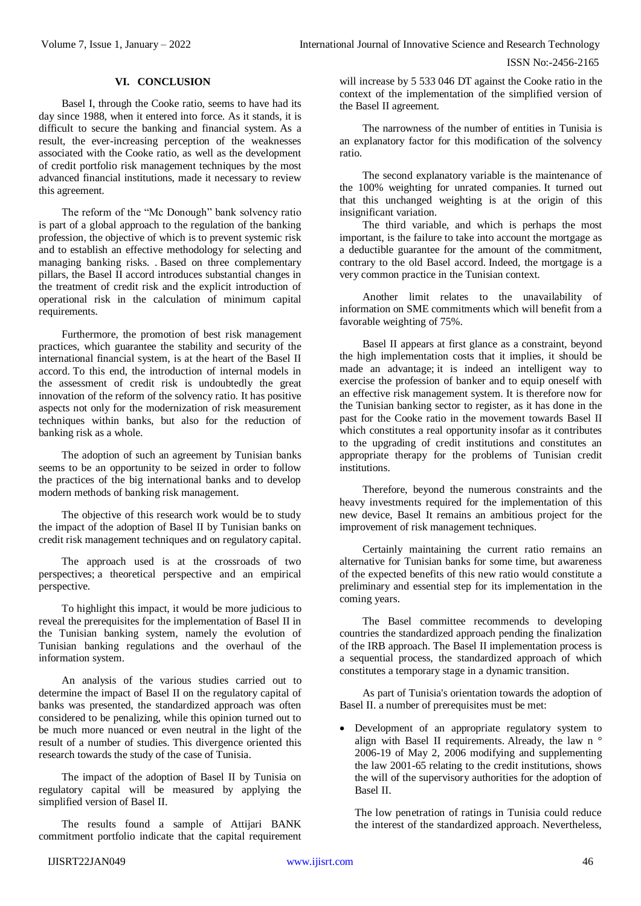# **VI. CONCLUSION**

Basel I, through the Cooke ratio, seems to have had its day since 1988, when it entered into force. As it stands, it is difficult to secure the banking and financial system. As a result, the ever-increasing perception of the weaknesses associated with the Cooke ratio, as well as the development of credit portfolio risk management techniques by the most advanced financial institutions, made it necessary to review this agreement.

The reform of the "Mc Donough" bank solvency ratio is part of a global approach to the regulation of the banking profession, the objective of which is to prevent systemic risk and to establish an effective methodology for selecting and managing banking risks. . Based on three complementary pillars, the Basel II accord introduces substantial changes in the treatment of credit risk and the explicit introduction of operational risk in the calculation of minimum capital requirements.

Furthermore, the promotion of best risk management practices, which guarantee the stability and security of the international financial system, is at the heart of the Basel II accord. To this end, the introduction of internal models in the assessment of credit risk is undoubtedly the great innovation of the reform of the solvency ratio. It has positive aspects not only for the modernization of risk measurement techniques within banks, but also for the reduction of banking risk as a whole.

The adoption of such an agreement by Tunisian banks seems to be an opportunity to be seized in order to follow the practices of the big international banks and to develop modern methods of banking risk management.

The objective of this research work would be to study the impact of the adoption of Basel II by Tunisian banks on credit risk management techniques and on regulatory capital.

The approach used is at the crossroads of two perspectives; a theoretical perspective and an empirical perspective.

To highlight this impact, it would be more judicious to reveal the prerequisites for the implementation of Basel II in the Tunisian banking system, namely the evolution of Tunisian banking regulations and the overhaul of the information system.

An analysis of the various studies carried out to determine the impact of Basel II on the regulatory capital of banks was presented, the standardized approach was often considered to be penalizing, while this opinion turned out to be much more nuanced or even neutral in the light of the result of a number of studies. This divergence oriented this research towards the study of the case of Tunisia.

The impact of the adoption of Basel II by Tunisia on regulatory capital will be measured by applying the simplified version of Basel II.

The results found a sample of Attijari BANK commitment portfolio indicate that the capital requirement

will increase by 5 533 046 DT against the Cooke ratio in the context of the implementation of the simplified version of the Basel II agreement.

The narrowness of the number of entities in Tunisia is an explanatory factor for this modification of the solvency ratio.

The second explanatory variable is the maintenance of the 100% weighting for unrated companies. It turned out that this unchanged weighting is at the origin of this insignificant variation.

The third variable, and which is perhaps the most important, is the failure to take into account the mortgage as a deductible guarantee for the amount of the commitment, contrary to the old Basel accord. Indeed, the mortgage is a very common practice in the Tunisian context.

Another limit relates to the unavailability of information on SME commitments which will benefit from a favorable weighting of 75%.

Basel II appears at first glance as a constraint, beyond the high implementation costs that it implies, it should be made an advantage; it is indeed an intelligent way to exercise the profession of banker and to equip oneself with an effective risk management system. It is therefore now for the Tunisian banking sector to register, as it has done in the past for the Cooke ratio in the movement towards Basel II which constitutes a real opportunity insofar as it contributes to the upgrading of credit institutions and constitutes an appropriate therapy for the problems of Tunisian credit institutions.

Therefore, beyond the numerous constraints and the heavy investments required for the implementation of this new device, Basel It remains an ambitious project for the improvement of risk management techniques.

Certainly maintaining the current ratio remains an alternative for Tunisian banks for some time, but awareness of the expected benefits of this new ratio would constitute a preliminary and essential step for its implementation in the coming years.

The Basel committee recommends to developing countries the standardized approach pending the finalization of the IRB approach. The Basel II implementation process is a sequential process, the standardized approach of which constitutes a temporary stage in a dynamic transition.

As part of Tunisia's orientation towards the adoption of Basel II. a number of prerequisites must be met:

 Development of an appropriate regulatory system to align with Basel II requirements. Already, the law n ° 2006-19 of May 2, 2006 modifying and supplementing the law 2001-65 relating to the credit institutions, shows the will of the supervisory authorities for the adoption of Basel II.

The low penetration of ratings in Tunisia could reduce the interest of the standardized approach. Nevertheless,